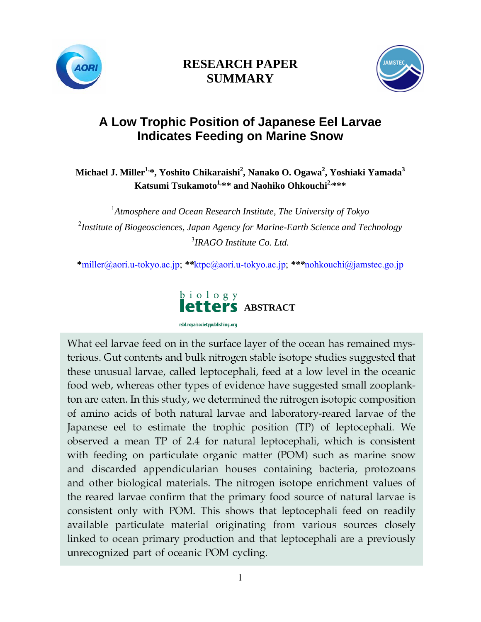



# **A Low Trophic Position of Japanese Eel Larvae Indicates Feeding on Marine Snow**

Michael J. Miller<sup>1,</sup>\*, Yoshito Chikaraishi<sup>2</sup>, Nanako O. Ogawa<sup>2</sup>, Yoshiaki Yamada<sup>3</sup> **Katsumi Tsukamoto<sup>1,\*\*</sup> and Naohiko Ohkouchi<sup>2,\*\*\*</sup>** 

<sup>1</sup> Atmosphere and Ocean Research Institute, The University of Tokyo 2 *Institute of Biogeosciences, Japan Agency for Marine-Earth Science and Technology*  3 *IRAGO Institute Co. Ltd.* 

**\***[miller@aori.u-tokyo.ac.jp;](mailto:*miller@aori.u-tokyo.ac.jp) *\*\**[ktpc@aori.u-tokyo.ac.jp;](mailto:ktpc@aori.u-tokyo.ac.jp) *\*\*\**[nohkouchi@jamstec.go.jp](mailto:nohkouchi@jamstec.go.jp) 



What eel larvae feed on in the surface layer of the ocean has remained mysterious. Gut contents and bulk nitrogen stable isotope studies suggested that these unusual larvae, called leptocephali, feed at a low level in the oceanic food web, whereas other types of evidence have suggested small zooplankton are eaten. In this study, we determined the nitrogen isotopic composition of amino acids of both natural larvae and laboratory-reared larvae of the Japanese eel to estimate the trophic position (TP) of leptocephali. We observed a mean TP of 2.4 for natural leptocephali, which is consistent with feeding on particulate organic matter (POM) such as marine snow and discarded appendicularian houses containing bacteria, protozoans and other biological materials. The nitrogen isotope enrichment values of the reared larvae confirm that the primary food source of natural larvae is consistent only with POM. This shows that leptocephali feed on readily available particulate material originating from various sources closely linked to ocean primary production and that leptocephali are a previously unrecognized part of oceanic POM cycling.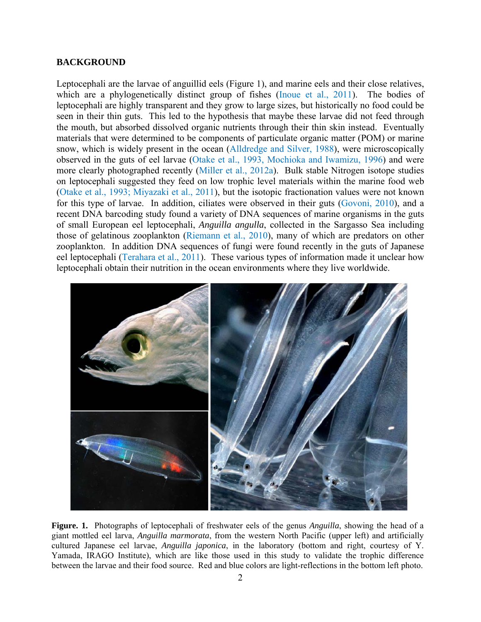## **BACKGROUND**

Leptocephali are the larvae of anguillid eels (Figure 1), and marine eels and their close relatives, which are a phylogenetically distinct group of fishes (Inoue et al., 2011). The bodies of leptocephali are highly transparent and they grow to large sizes, but historically no food could be seen in their thin guts. This led to the hypothesis that maybe these larvae did not feed through the mouth, but absorbed dissolved organic nutrients through their thin skin instead. Eventually materials that were determined to be components of particulate organic matter (POM) or marine snow, which is widely present in the ocean (Alldredge and Silver, 1988), were microscopically observed in the guts of eel larvae (Otake et al., 1993, Mochioka and Iwamizu, 1996) and were more clearly photographed recently (Miller et al., 2012a). Bulk stable Nitrogen isotope studies on leptocephali suggested they feed on low trophic level materials within the marine food web (Otake et al., 1993; Miyazaki et al., 2011), but the isotopic fractionation values were not known for this type of larvae. In addition, ciliates were observed in their guts (Govoni, 2010), and a recent DNA barcoding study found a variety of DNA sequences of marine organisms in the guts of small European eel leptocephali, *Anguilla angulla*, collected in the Sargasso Sea including those of gelatinous zooplankton (Riemann et al., 2010), many of which are predators on other zooplankton. In addition DNA sequences of fungi were found recently in the guts of Japanese eel leptocephali (Terahara et al., 2011). These various types of information made it unclear how leptocephali obtain their nutrition in the ocean environments where they live worldwide.



**Figure. 1.** Photographs of leptocephali of freshwater eels of the genus *Anguilla*, showing the head of a giant mottled eel larva, *Anguilla marmorata*, from the western North Pacific (upper left) and artificially cultured Japanese eel larvae, *Anguilla japonica*, in the laboratory (bottom and right, courtesy of Y. Yamada, IRAGO Institute), which are like those used in this study to validate the trophic difference between the larvae and their food source. Red and blue colors are light-reflections in the bottom left photo.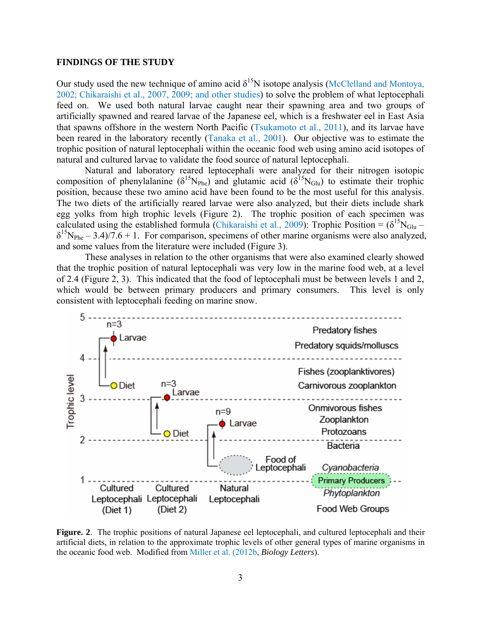### **FINDINGS OF THE STUDY**

Our study used the new technique of amino acid  $\delta^{15}N$  isotope analysis (McClelland and Montoya, 2002; Chikaraishi et al., 2007, 2009; and other studies) to solve the problem of what leptocephali feed on. We used both natural larvae caught near their spawning area and two groups of artificially spawned and reared larvae of the Japanese eel, which is a freshwater eel in East Asia that spawns offshore in the western North Pacific (Tsukamoto et al., 2011), and its larvae have been reared in the laboratory recently (Tanaka et al., 2001). Our objective was to estimate the trophic position of natural leptocephali within the oceanic food web using amino acid isotopes of natural and cultured larvae to validate the food source of natural leptocephali.

 Natural and laboratory reared leptocephali were analyzed for their nitrogen isotopic composition of phenylalanine ( $\delta^{15}N_{\text{Phe}}$ ) and glutamic acid ( $\delta^{15}N_{\text{Glu}}$ ) to estimate their trophic position, because these two amino acid have been found to be the most useful for this analysis. The two diets of the artificially reared larvae were also analyzed, but their diets include shark egg yolks from high trophic levels (Figure 2). The trophic position of each specimen was calculated using the established formula (Chikaraishi et al., 2009): Trophic Position =  $(\delta^{15}N_{\text{Glu}} \delta^{15}N_{\text{Phe}} - 3.4$ )/7.6 + 1. For comparison, specimens of other marine organisms were also analyzed, and some values from the literature were included (Figure 3).

 These analyses in relation to the other organisms that were also examined clearly showed that the trophic position of natural leptocephali was very low in the marine food web, at a level of 2.4 (Figure 2, 3). This indicated that the food of leptocephali must be between levels 1 and 2, which would be between primary producers and primary consumers. This level is only consistent with leptocephali feeding on marine snow.



**Figure. 2**. The trophic positions of natural Japanese eel leptocephali, and cultured leptocephali and their artificial diets, in relation to the approximate trophic levels of other general types of marine organisms in the oceanic food web. Modified from Miller et al. (2012b, *Biology Letters*).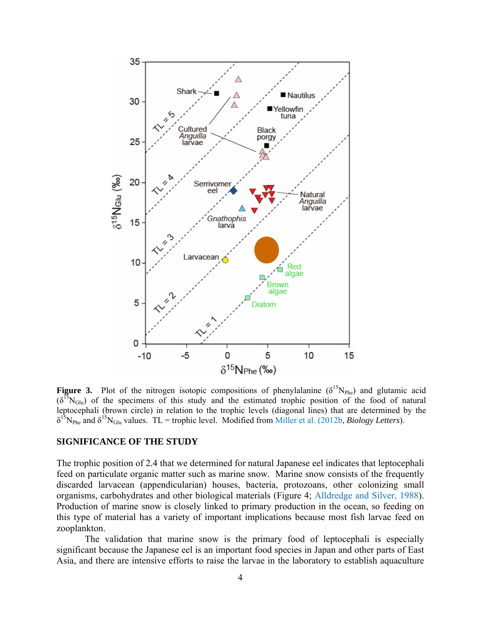

**Figure 3.** Plot of the nitrogen isotopic compositions of phenylalanine  $(\delta^{15}N_{\text{Phe}})$  and glutamic acid  $(\delta^{15}N_{\text{Glu}})$  of the specimens of this study and the estimated trophic position of the food of natural leptocephali (brown circle) in relation to the trophic levels (diagonal lines) that are determined by the  $\delta^{15}N_{\text{Phe}}$  and  $\delta^{15}N_{\text{Glu}}$  values. TL = trophic level. Modified from Miller et al. (2012b, *Biology Letters*).

#### **SIGNIFICANCE OF THE STUDY**

The trophic position of 2.4 that we determined for natural Japanese eel indicates that leptocephali feed on particulate organic matter such as marine snow. Marine snow consists of the frequently discarded larvacean (appendicularian) houses, bacteria, protozoans, other colonizing small organisms, carbohydrates and other biological materials (Figure 4; Alldredge and Silver, 1988). Production of marine snow is closely linked to primary production in the ocean, so feeding on this type of material has a variety of important implications because most fish larvae feed on zooplankton.

The validation that marine snow is the primary food of leptocephali is especially significant because the Japanese eel is an important food species in Japan and other parts of East Asia, and there are intensive efforts to raise the larvae in the laboratory to establish aquaculture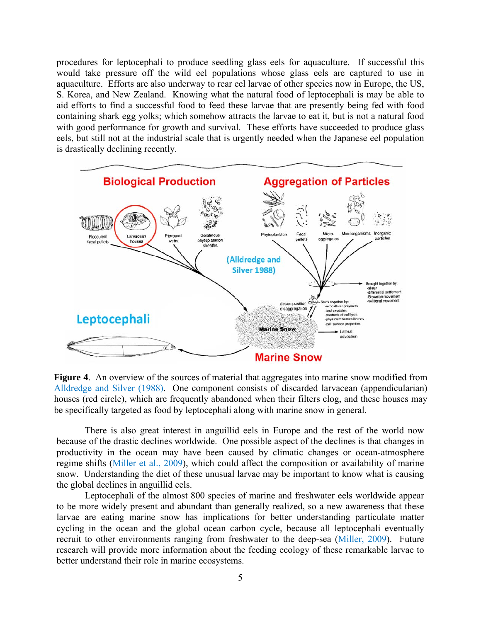procedures for leptocephali to produce seedling glass eels for aquaculture. If successful this would take pressure off the wild eel populations whose glass eels are captured to use in aquaculture. Efforts are also underway to rear eel larvae of other species now in Europe, the US, S. Korea, and New Zealand. Knowing what the natural food of leptocephali is may be able to aid efforts to find a successful food to feed these larvae that are presently being fed with food containing shark egg yolks; which somehow attracts the larvae to eat it, but is not a natural food with good performance for growth and survival. These efforts have succeeded to produce glass eels, but still not at the industrial scale that is urgently needed when the Japanese eel population is drastically declining recently.



**Figure 4**. An overview of the sources of material that aggregates into marine snow modified from Alldredge and Silver (1988). One component consists of discarded larvacean (appendicularian) houses (red circle), which are frequently abandoned when their filters clog, and these houses may be specifically targeted as food by leptocephali along with marine snow in general.

There is also great interest in anguillid eels in Europe and the rest of the world now because of the drastic declines worldwide. One possible aspect of the declines is that changes in productivity in the ocean may have been caused by climatic changes or ocean-atmosphere regime shifts (Miller et al., 2009), which could affect the composition or availability of marine snow. Understanding the diet of these unusual larvae may be important to know what is causing the global declines in anguillid eels.

Leptocephali of the almost 800 species of marine and freshwater eels worldwide appear to be more widely present and abundant than generally realized, so a new awareness that these larvae are eating marine snow has implications for better understanding particulate matter cycling in the ocean and the global ocean carbon cycle, because all leptocephali eventually recruit to other environments ranging from freshwater to the deep-sea (Miller, 2009). Future research will provide more information about the feeding ecology of these remarkable larvae to better understand their role in marine ecosystems.